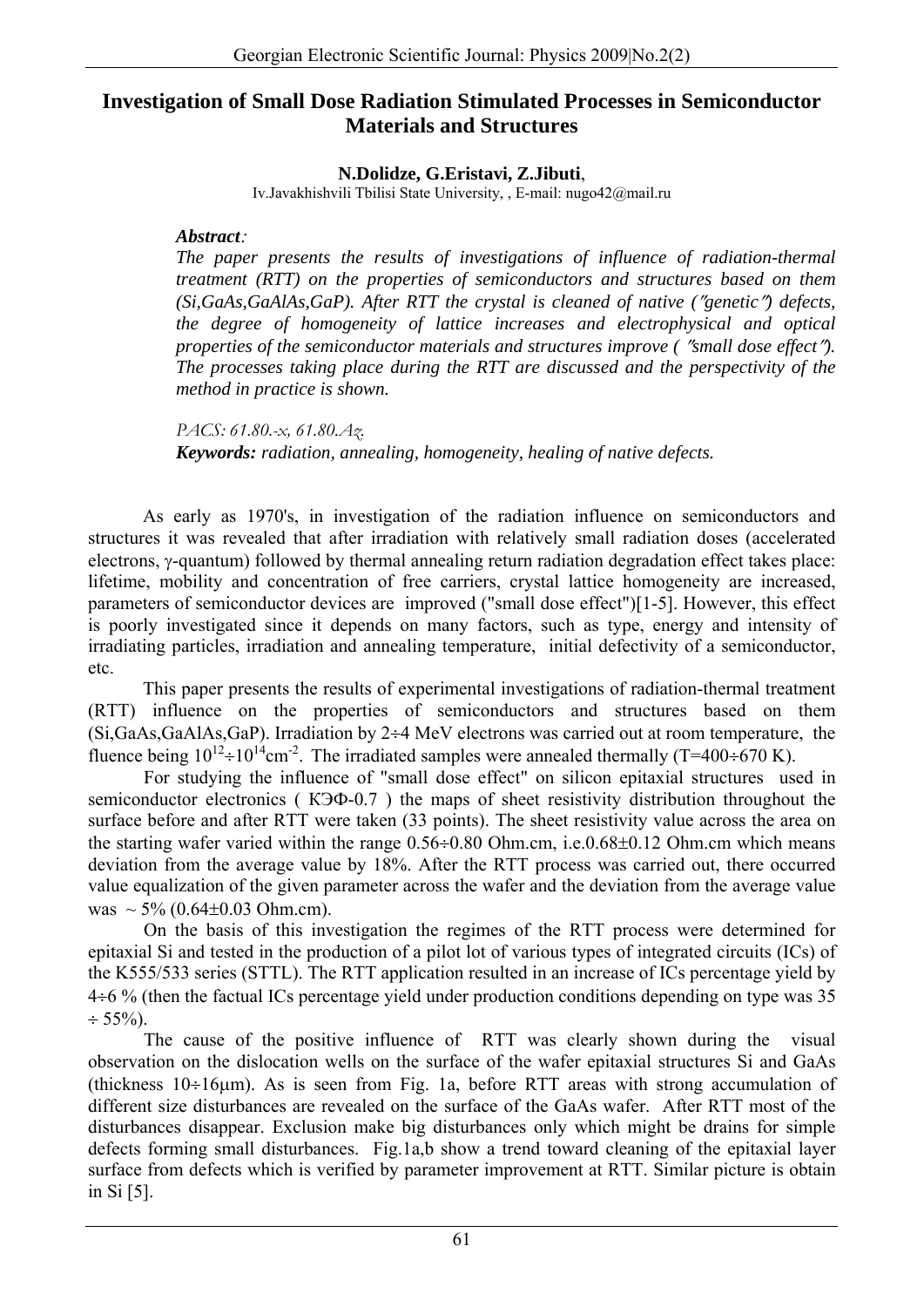## **Investigation of Small Dose Radiation Stimulated Processes in Semiconductor Materials and Structures**

**N.Dolidze, G.Eristavi, Z.Jibuti**, Iv.Javakhishvili Tbilisi State University, , E-mail: nugo42@mail.ru

## *Abstract*:

*The paper presents the results of investigations of influence of radiation-thermal treatment (RTT) on the properties of semiconductors and structures based on them (Si,GaAs,GaAlAs,GaP). After RTT the crystal is cleaned of native (*″*genetic*″*) defects, the degree of homogeneity of lattice increases and electrophysical and optical properties of the semiconductor materials and structures improve (* ″*small dose effect*″*). The processes taking place during the RTT are discussed and the perspectivity of the method in practice is shown.* 

*PACS: 61.80.-x, 61.80.Az. Keywords: radiation, annealing, homogeneity, healing of native defects.* 

As early as 1970's, in investigation of the radiation influence on semiconductors and structures it was revealed that after irradiation with relatively small radiation doses (accelerated electrons, γ-quantum) followed by thermal annealing return radiation degradation effect takes place: lifetime, mobility and concentration of free carriers, crystal lattice homogeneity are increased, parameters of semiconductor devices are improved ("small dose effect")[1-5]. However, this effect is poorly investigated since it depends on many factors, such as type, energy and intensity of irradiating particles, irradiation and annealing temperature, initial defectivity of a semiconductor, etc.

This paper presents the results of experimental investigations of radiation-thermal treatment (RTT) influence on the properties of semiconductors and structures based on them (Si,GaAs,GaAlAs,GaP). Irradiation by 2÷4 MeV electrons was carried out at room temperature, the fluence being  $10^{12} \div 10^{14}$ cm<sup>-2</sup>. The irradiated samples were annealed thermally (T=400÷670 K).

For studying the influence of "small dose effect" on silicon epitaxial structures used in semiconductor electronics (KEH -0.7) the maps of sheet resistivity distribution throughout the surface before and after RTT were taken (33 points). The sheet resistivity value across the area on the starting wafer varied within the range  $0.56 \div 0.80$  Ohm.cm, i.e. $0.68 \pm 0.12$  Ohm.cm which means deviation from the average value by 18%. After the RTT process was carried out, there occurred value equalization of the given parameter across the wafer and the deviation from the average value was  $\sim$  5% (0.64±0.03 Ohm.cm).

On the basis of this investigation the regimes of the RTT process were determined for epitaxial Si and tested in the production of a pilot lot of various types of integrated circuits (ICs) of the K555/533 series (STTL). The RTT application resulted in an increase of ICs percentage yield by 4÷6 % (then the factual ICs percentage yield under production conditions depending on type was 35  $\div$  55%).

The cause of the positive influence of RTT was clearly shown during the visual observation on the dislocation wells on the surface of the wafer epitaxial structures Si and GaAs (thickness 10÷16μm). As is seen from Fig. 1a, before RTT areas with strong accumulation of different size disturbances are revealed on the surface of the GaAs wafer. After RTT most of the disturbances disappear. Exclusion make big disturbances only which might be drains for simple defects forming small disturbances. Fig.1a,b show a trend toward cleaning of the epitaxial layer surface from defects which is verified by parameter improvement at RTT. Similar picture is obtain in Si [5].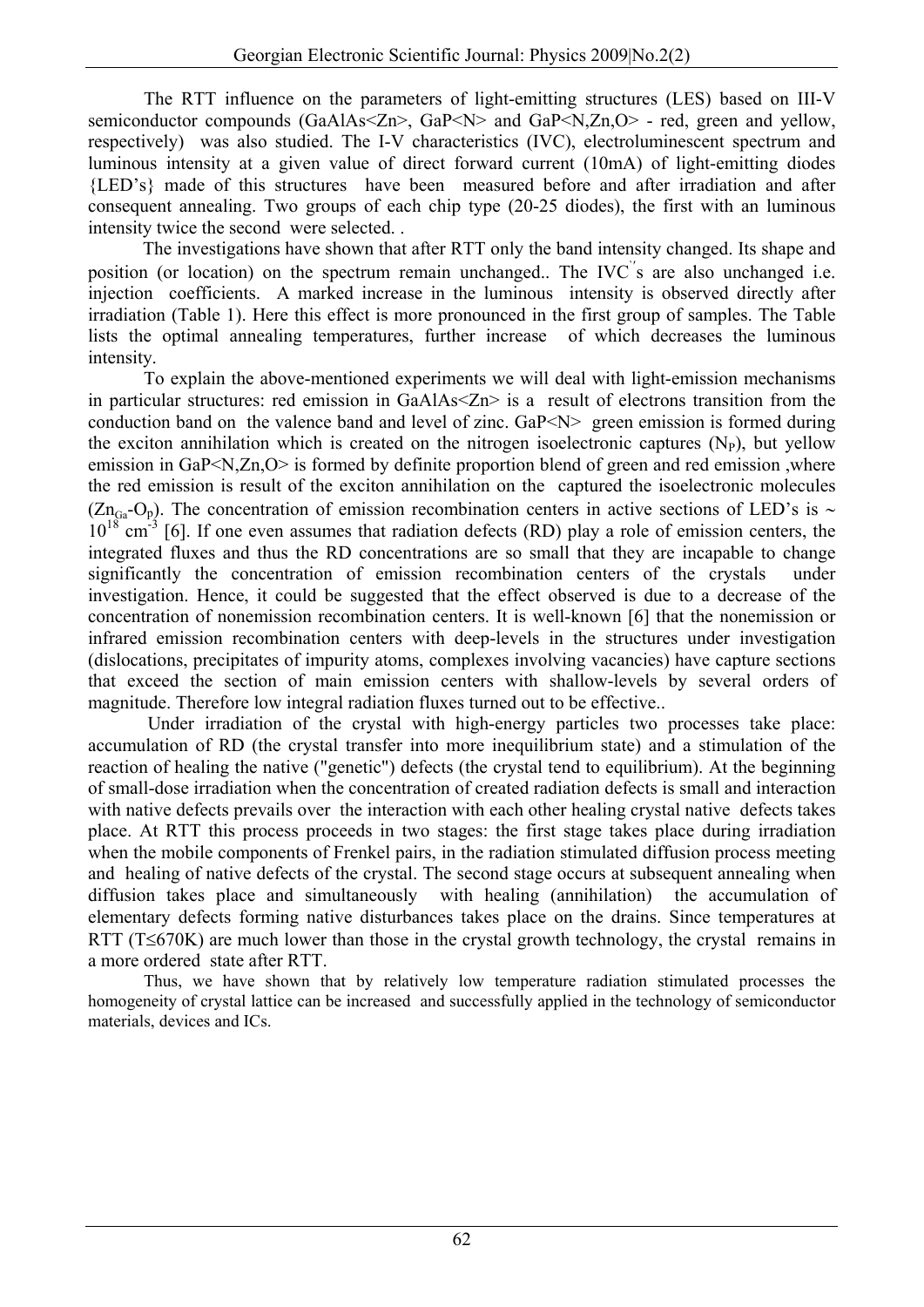The RTT influence on the parameters of light-emitting structures (LES) based on III-V semiconductor compounds (GaAlAs<Zn>, GaP<N> and GaP<N,Zn,O> - red, green and yellow, respectively) was also studied. The I-V characteristics (IVC), electroluminescent spectrum and luminous intensity at a given value of direct forward current (10mA) of light-emitting diodes {LED's} made of this structures have been measured before and after irradiation and after consequent annealing. Two groups of each chip type (20-25 diodes), the first with an luminous intensity twice the second were selected. .

The investigations have shown that after RTT only the band intensity changed. Its shape and position (or location) on the spectrum remain unchanged.. The IVC s are also unchanged i.e. injection coefficients. A marked increase in the luminous intensity is observed directly after irradiation (Table 1). Here this effect is more pronounced in the first group of samples. The Table lists the optimal annealing temperatures, further increase of which decreases the luminous intensity.

To explain the above-mentioned experiments we will deal with light-emission mechanisms in particular structures: red emission in GaAlAs<Zn> is a result of electrons transition from the conduction band on the valence band and level of zinc. GaP<N> green emission is formed during the exciton annihilation which is created on the nitrogen isoelectronic captures  $(N_P)$ , but yellow emission in GaP<N,Zn,O> is formed by definite proportion blend of green and red emission ,where the red emission is result of the exciton annihilation on the captured the isoelectronic molecules (Zn<sub>Ga</sub>-O<sub>p</sub>). The concentration of emission recombination centers in active sections of LED's is ∼  $10^{18}$  cm<sup>-3</sup> [6]. If one even assumes that radiation defects (RD) play a role of emission centers, the integrated fluxes and thus the RD concentrations are so small that they are incapable to change significantly the concentration of emission recombination centers of the crystals under investigation. Hence, it could be suggested that the effect observed is due to a decrease of the concentration of nonemission recombination centers. It is well-known [6] that the nonemission or infrared emission recombination centers with deep-levels in the structures under investigation (dislocations, precipitates of impurity atoms, complexes involving vacancies) have capture sections that exceed the section of main emission centers with shallow-levels by several orders of magnitude. Therefore low integral radiation fluxes turned out to be effective..

 Under irradiation of the crystal with high-energy particles two processes take place: accumulation of RD (the crystal transfer into more inequilibrium state) and a stimulation of the reaction of healing the native ("genetic") defects (the crystal tend to equilibrium). At the beginning of small-dose irradiation when the concentration of created radiation defects is small and interaction with native defects prevails over the interaction with each other healing crystal native defects takes place. At RTT this process proceeds in two stages: the first stage takes place during irradiation when the mobile components of Frenkel pairs, in the radiation stimulated diffusion process meeting and healing of native defects of the crystal. The second stage occurs at subsequent annealing when diffusion takes place and simultaneously with healing (annihilation) the accumulation of elementary defects forming native disturbances takes place on the drains. Since temperatures at RTT ( $T \leq 670K$ ) are much lower than those in the crystal growth technology, the crystal remains in a more ordered state after RTT.

Thus, we have shown that by relatively low temperature radiation stimulated processes the homogeneity of crystal lattice can be increased and successfully applied in the technology of semiconductor materials, devices and ICs.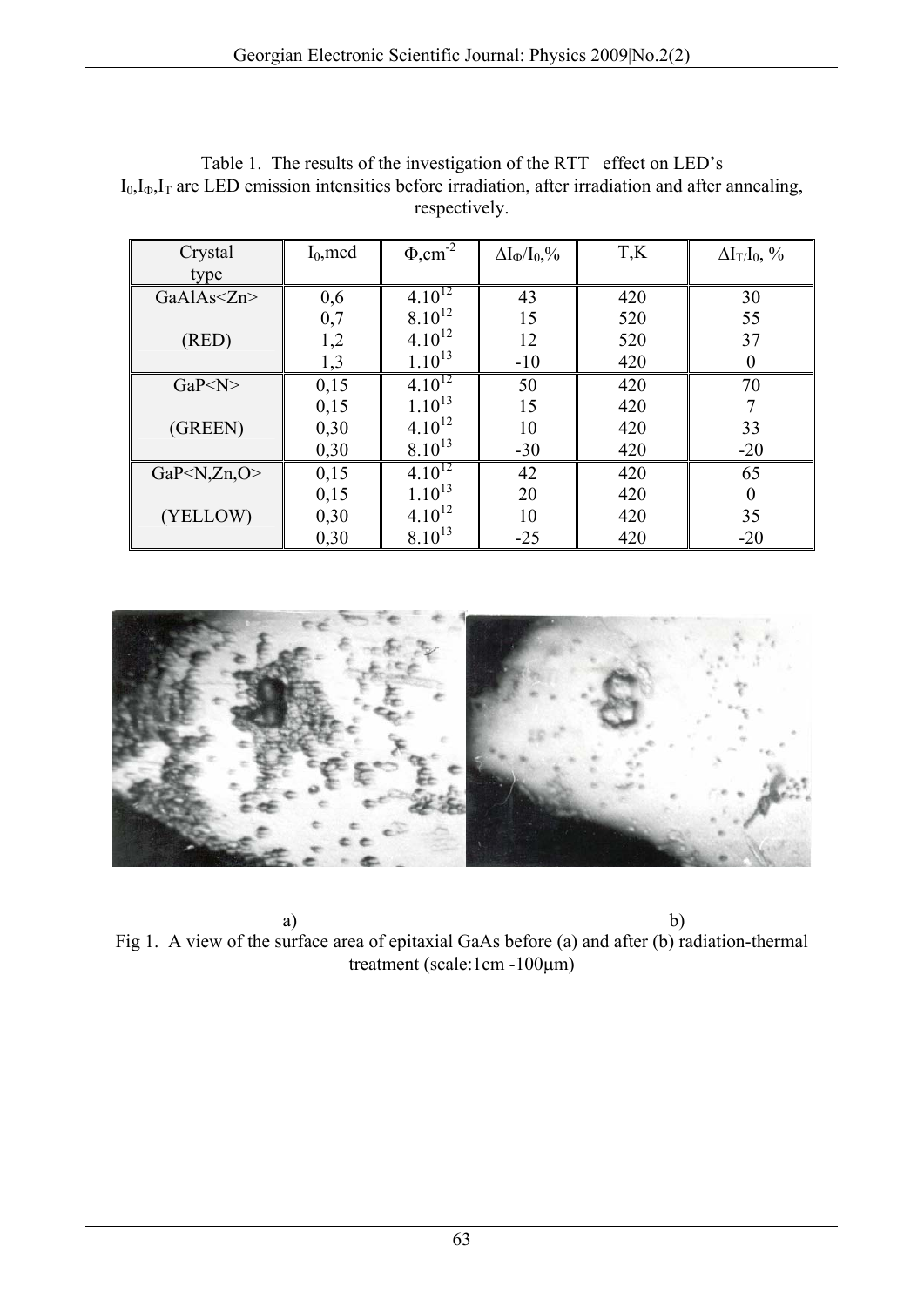| Crystal                      | $I_0$ , mcd | $\Phi, \text{cm}^2$ | $\Delta I_{\Phi}/I_0,\!\%$ | T,K | $\Delta I_T/I_0$ , % |
|------------------------------|-------------|---------------------|----------------------------|-----|----------------------|
| type                         |             |                     |                            |     |                      |
| GaAlAs $\leq$ Zn>            | 0,6         | $4.10^{12}$         | 43                         | 420 | 30                   |
|                              | 0,7         | $8.10^{12}$         | 15                         | 520 | 55                   |
| (RED)                        | 1,2         | $4.10^{12}$         | 12                         | 520 | 37                   |
|                              | 1,3         | $1.10^{13}$         | $-10$                      | 420 | $\overline{0}$       |
| GaP< N>                      | 0,15        | $4.10^{12}$         | 50                         | 420 | 70                   |
|                              | 0,15        | $1.10^{13}$         | 15                         | 420 | 7                    |
| (GREEN)                      | 0,30        | $4.10^{12}$         | 10                         | 420 | 33                   |
|                              | 0,30        | $8.10^{13}$         | $-30$                      | 420 | $-20$                |
| GaP $\langle N,Zn,O \rangle$ | 0,15        | $4.10^{12}$         | 42                         | 420 | 65                   |
|                              | 0,15        | $1.10^{13}$         | 20                         | 420 | $\boldsymbol{0}$     |
| (YELLOW)                     | 0,30        | $4.10^{12}$         | 10                         | 420 | 35                   |
|                              | 0,30        | $8.10^{13}$         | $-25$                      | 420 | $-20$                |

Table 1. The results of the investigation of the RTT effect on LED's  $I_0, I_0, I_T$  are LED emission intensities before irradiation, after irradiation and after annealing, respectively.



a) b) Fig 1. A view of the surface area of epitaxial GaAs before (a) and after (b) radiation-thermal treatment (scale:1cm -100μm)